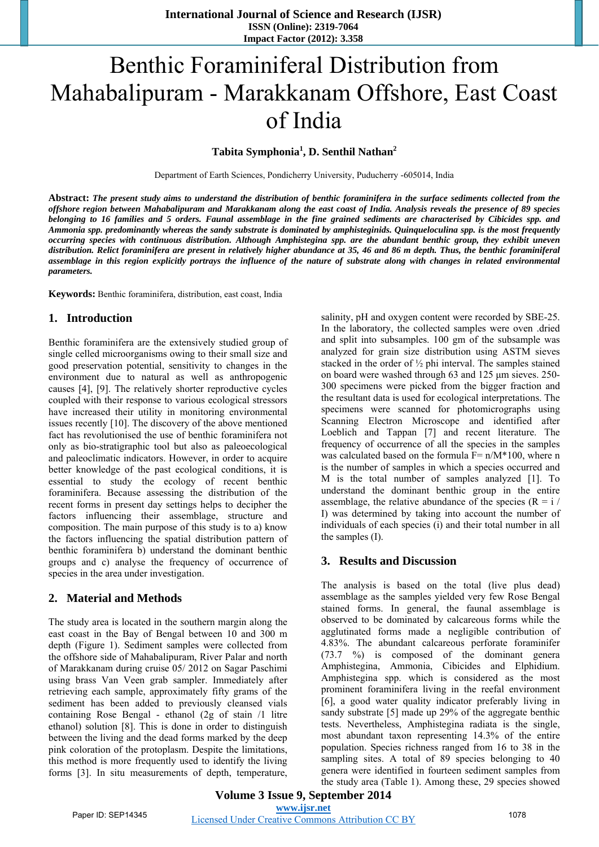# Benthic Foraminiferal Distribution from Mahabalipuram - Marakkanam Offshore, East Coast of India

**Tabita Symphonia<sup>1</sup> , D. Senthil Nathan2**

Department of Earth Sciences, Pondicherry University, Puducherry -605014, India

**Abstract:** *The present study aims to understand the distribution of benthic foraminifera in the surface sediments collected from the offshore region between Mahabalipuram and Marakkanam along the east coast of India. Analysis reveals the presence of 89 species belonging to 16 families and 5 orders. Faunal assemblage in the fine grained sediments are characterised by Cibicides spp. and Ammonia spp. predominantly whereas the sandy substrate is dominated by amphisteginids. Quinqueloculina spp. is the most frequently occurring species with continuous distribution. Although Amphistegina spp. are the abundant benthic group, they exhibit uneven distribution. Relict foraminifera are present in relatively higher abundance at 35, 46 and 86 m depth. Thus, the benthic foraminiferal assemblage in this region explicitly portrays the influence of the nature of substrate along with changes in related environmental parameters.*

**Keywords:** Benthic foraminifera, distribution, east coast, India

#### **1. Introduction**

Benthic foraminifera are the extensively studied group of single celled microorganisms owing to their small size and good preservation potential, sensitivity to changes in the environment due to natural as well as anthropogenic causes [4], [9]. The relatively shorter reproductive cycles coupled with their response to various ecological stressors have increased their utility in monitoring environmental issues recently [10]. The discovery of the above mentioned fact has revolutionised the use of benthic foraminifera not only as bio-stratigraphic tool but also as paleoecological and paleoclimatic indicators. However, in order to acquire better knowledge of the past ecological conditions, it is essential to study the ecology of recent benthic foraminifera. Because assessing the distribution of the recent forms in present day settings helps to decipher the factors influencing their assemblage, structure and composition. The main purpose of this study is to a) know the factors influencing the spatial distribution pattern of benthic foraminifera b) understand the dominant benthic groups and c) analyse the frequency of occurrence of species in the area under investigation.

#### **2. Material and Methods**

The study area is located in the southern margin along the east coast in the Bay of Bengal between 10 and 300 m depth (Figure 1). Sediment samples were collected from the offshore side of Mahabalipuram, River Palar and north of Marakkanam during cruise 05/ 2012 on Sagar Paschimi using brass Van Veen grab sampler. Immediately after retrieving each sample, approximately fifty grams of the sediment has been added to previously cleansed vials containing Rose Bengal - ethanol (2g of stain /1 litre ethanol) solution [8]. This is done in order to distinguish between the living and the dead forms marked by the deep pink coloration of the protoplasm. Despite the limitations, this method is more frequently used to identify the living forms [3]. In situ measurements of depth, temperature,

salinity, pH and oxygen content were recorded by SBE-25. In the laboratory, the collected samples were oven .dried and split into subsamples. 100 gm of the subsample was analyzed for grain size distribution using ASTM sieves stacked in the order of ½ phi interval. The samples stained on board were washed through 63 and 125 μm sieves. 250- 300 specimens were picked from the bigger fraction and the resultant data is used for ecological interpretations. The specimens were scanned for photomicrographs using Scanning Electron Microscope and identified after Loeblich and Tappan [7] and recent literature. The frequency of occurrence of all the species in the samples was calculated based on the formula  $F = n/M*100$ , where n is the number of samples in which a species occurred and M is the total number of samples analyzed [1]. To understand the dominant benthic group in the entire assemblage, the relative abundance of the species ( $R = i / j$ I) was determined by taking into account the number of individuals of each species (i) and their total number in all the samples (I).

#### **3. Results and Discussion**

The analysis is based on the total (live plus dead) assemblage as the samples yielded very few Rose Bengal stained forms. In general, the faunal assemblage is observed to be dominated by calcareous forms while the agglutinated forms made a negligible contribution of 4.83%. The abundant calcareous perforate foraminifer (73.7 %) is composed of the dominant genera Amphistegina, Ammonia, Cibicides and Elphidium. Amphistegina spp. which is considered as the most prominent foraminifera living in the reefal environment [6], a good water quality indicator preferably living in sandy substrate [5] made up 29% of the aggregate benthic tests. Nevertheless, Amphistegina radiata is the single, most abundant taxon representing 14.3% of the entire population. Species richness ranged from 16 to 38 in the sampling sites. A total of 89 species belonging to 40 genera were identified in fourteen sediment samples from the study area (Table 1). Among these, 29 species showed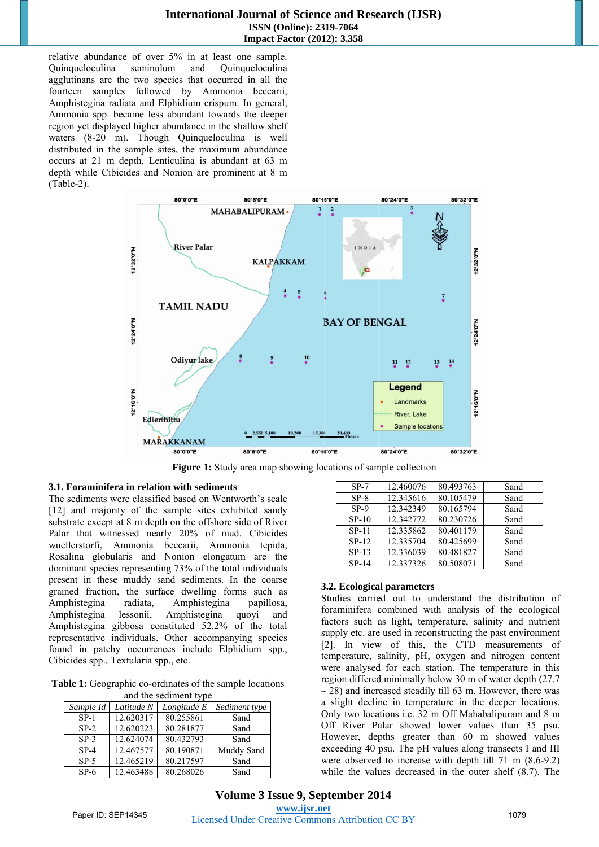relative abundance of over 5% in at least one sample. Ouinqueloculina seminulum and Ouinqueloculina agglutinans are the two species that occurred in all the fourteen samples followed by Ammonia beccarii, Amphistegina radiata and Elphidium crispum. In general, Ammonia spp. became less abundant towards the deeper region yet displayed higher abundance in the shallow shelf waters (8-20 m). Though Quinqueloculina is well distributed in the sample sites, the maximum abundance occurs at 21 m depth. Lenticulina is abundant at 63 m depth while Cibicides and Nonion are prominent at 8 m  $(Table-2)$ .



Figure 1: Study area map showing locations of sample collection

#### 3.1. Foraminifera in relation with sediments

The sediments were classified based on Wentworth's scale [12] and majority of the sample sites exhibited sandy substrate except at 8 m depth on the offshore side of River Palar that witnessed nearly 20% of mud. Cibicides wuellerstorfi, Ammonia beccarii, Ammonia tepida, Rosalina globularis and Nonion elongatum are the dominant species representing 73% of the total individuals present in these muddy sand sediments. In the coarse grained fraction, the surface dwelling forms such as Amphistegina radiata, Amphistegina papillosa, Amphistegina lessonii. Amphistegina quoyi and Amphistegina gibbosa constituted 52.2% of the total representative individuals. Other accompanying species found in patchy occurrences include Elphidium spp., Cibicides spp., Textularia spp., etc.

**Table 1:** Geographic co-ordinates of the sample locations and the first state of the contraction

| and the sequinem type |            |             |               |  |  |  |  |  |  |  |  |
|-----------------------|------------|-------------|---------------|--|--|--|--|--|--|--|--|
| Sample Id             | Latitude N | Longitude E | Sediment type |  |  |  |  |  |  |  |  |
| $SP-1$                | 12.620317  | 80.255861   | Sand          |  |  |  |  |  |  |  |  |
| $SP-2$                | 12.620223  | 80.281877   | Sand          |  |  |  |  |  |  |  |  |
| $SP-3$                | 12.624074  | 80.432793   | Sand          |  |  |  |  |  |  |  |  |
| $SP-4$                | 12.467577  | 80.190871   | Muddy Sand    |  |  |  |  |  |  |  |  |
| $SP-5$                | 12.465219  | 80.217597   | Sand          |  |  |  |  |  |  |  |  |
| $SP-6$                | 12.463488  | 80.268026   | Sand          |  |  |  |  |  |  |  |  |

| $SP-7$  | 12.460076 | 80.493763 | Sand |
|---------|-----------|-----------|------|
| $SP-8$  | 12.345616 | 80.105479 | Sand |
| $SP-9$  | 12.342349 | 80.165794 | Sand |
| $SP-10$ | 12.342772 | 80.230726 | Sand |
| $SP-11$ | 12.335862 | 80.401179 | Sand |
| $SP-12$ | 12.335704 | 80.425699 | Sand |
| $SP-13$ | 12.336039 | 80.481827 | Sand |
| $SP-14$ | 12.337326 | 80.508071 | Sand |

#### 3.2. Ecological parameters

Studies carried out to understand the distribution of foraminifera combined with analysis of the ecological factors such as light, temperature, salinity and nutrient supply etc. are used in reconstructing the past environment [2]. In view of this, the CTD measurements of temperature, salinity, pH, oxygen and nitrogen content were analysed for each station. The temperature in this region differed minimally below 30 m of water depth (27.7)  $-28$ ) and increased steadily till 63 m. However, there was a slight decline in temperature in the deeper locations. Only two locations i.e. 32 m Off Mahabalipuram and 8 m Off River Palar showed lower values than 35 psu. However, depths greater than 60 m showed values exceeding 40 psu. The pH values along transects I and III were observed to increase with depth till  $71 \text{ m} (8.6-9.2)$ while the values decreased in the outer shelf  $(8.7)$ . The

Volume 3 Issue 9, September 2014 www.ijsr.net **Licensed Under Creative Commons Attribution CC BY**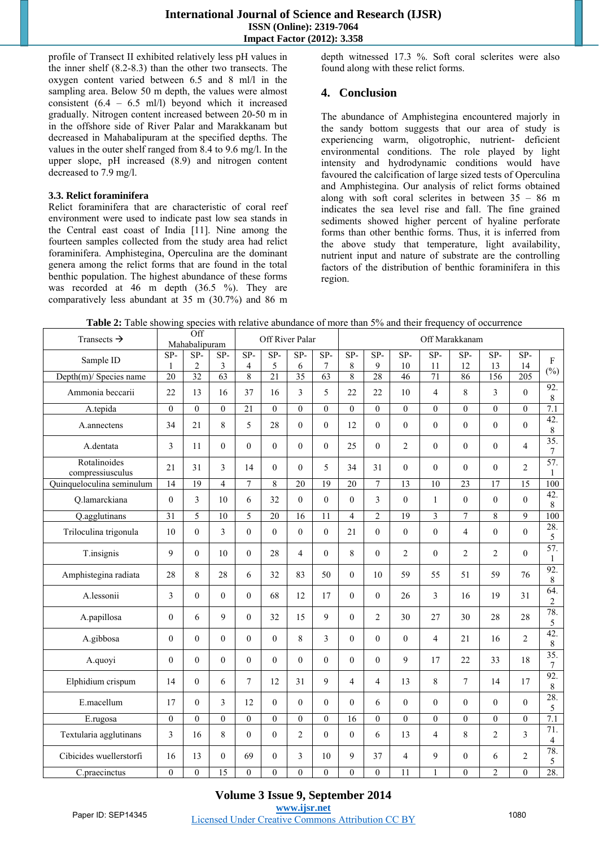profile of Transect II exhibited relatively less pH values in the inner shelf (8.2-8.3) than the other two transects. The oxygen content varied between 6.5 and 8 ml/l in the sampling area. Below 50 m depth, the values were almost consistent  $(6.4 - 6.5 \text{ ml/l})$  beyond which it increased gradually. Nitrogen content increased between 20-50 m in in the offshore side of River Palar and Marakkanam but decreased in Mahabalipuram at the specified depths. The values in the outer shelf ranged from 8.4 to 9.6 mg/l. In the upper slope, pH increased (8.9) and nitrogen content decreased to 7.9 mg/l.

#### **3.3. Relict foraminifera**

Relict foraminifera that are characteristic of coral reef environment were used to indicate past low sea stands in the Central east coast of India [11]. Nine among the fourteen samples collected from the study area had relict foraminifera. Amphistegina, Operculina are the dominant genera among the relict forms that are found in the total benthic population. The highest abundance of these forms was recorded at 46 m depth (36.5 %). They are comparatively less abundant at 35 m (30.7%) and 86 m

depth witnessed 17.3 %. Soft coral sclerites were also found along with these relict forms.

## **4. Conclusion**

The abundance of Amphistegina encountered majorly in the sandy bottom suggests that our area of study is experiencing warm, oligotrophic, nutrient- deficient environmental conditions. The role played by light intensity and hydrodynamic conditions would have favoured the calcification of large sized tests of Operculina and Amphistegina. Our analysis of relict forms obtained along with soft coral sclerites in between  $35 - 86$  m indicates the sea level rise and fall. The fine grained sediments showed higher percent of hyaline perforate forms than other benthic forms. Thus, it is inferred from the above study that temperature, light availability, nutrient input and nature of substrate are the controlling factors of the distribution of benthic foraminifera in this region.

| Transects $\rightarrow$          |                 | Off<br>Mahabalipuram |                |                | Off River Palar |                 |                 |                | Off Marakkanam   |                  |                         |                |                |                          |                                      |  |
|----------------------------------|-----------------|----------------------|----------------|----------------|-----------------|-----------------|-----------------|----------------|------------------|------------------|-------------------------|----------------|----------------|--------------------------|--------------------------------------|--|
| Sample ID                        | $SP-$           | $SP-$                | $SP-$          | $SP-$          | $SP-$           | $SP-$           | $SP-$           | $SP-$          | $SP-$            | $SP-$            | $SP-$                   | $SP-$          | $SP-$          | $SP-$                    | $\mathbf{F}$                         |  |
|                                  | 1               | $\overline{c}$       | 3              | $\overline{4}$ | 5               | 6               | $\tau$          | $\,$ 8 $\,$    | 9                | 10               | 11                      | 12             | 13             | 14                       | $(\%)$                               |  |
| Depth(m)/ Species name           | $\overline{20}$ | $\overline{32}$      | 63             | 8              | $\overline{21}$ | $\overline{35}$ | 63              | $\overline{8}$ | 28               | 46               | 71                      | 86             | 156            | 205                      |                                      |  |
| Ammonia beccarii                 | 22              | 13                   | 16             | 37             | 16              | 3               | 5               | 22             | 22               | 10               | $\overline{4}$          | 8              | 3              | $\theta$                 | 92.<br>$\,$ 8 $\,$                   |  |
| A.tepida                         | $\theta$        | $\theta$             | $\theta$       | 21             | $\Omega$        | $\Omega$        | $\Omega$        | $\theta$       | $\boldsymbol{0}$ | $\overline{0}$   | $\mathbf{0}$            | $\Omega$       | $\Omega$       | $\Omega$                 | 7.1                                  |  |
| A.annectens                      | 34              | 21                   | 8              | 5              | 28              | $\theta$        | $\mathbf{0}$    | 12             | $\theta$         | $\theta$         | $\theta$                | $\overline{0}$ | $\theta$       | $\theta$                 | 42.<br>$\,8\,$                       |  |
| A.dentata                        | 3               | 11                   | $\overline{0}$ | $\theta$       | $\overline{0}$  | $\theta$        | $\overline{0}$  | 25             | $\overline{0}$   | $\overline{c}$   | $\mathbf{0}$            | $\theta$       | $\theta$       | $\overline{\mathbf{4}}$  | $\overline{35}$ .<br>$7\phantom{.0}$ |  |
| Rotalinoides<br>compressiusculus | 21              | 31                   | 3              | 14             | $\theta$        | $\theta$        | 5               | 34             | 31               | $\overline{0}$   | $\theta$                | $\theta$       | $\theta$       | $\overline{2}$           | 57.<br>1                             |  |
| Quinqueloculina seminulum        | $\overline{14}$ | $\overline{19}$      | $\overline{4}$ | $\overline{7}$ | 8               | 20              | $\overline{19}$ | 20             | $\tau$           | 13               | 10                      | 23             | 17             | $\overline{15}$          | 100                                  |  |
| Q.lamarckiana                    | $\mathbf{0}$    | 3                    | 10             | 6              | 32              | $\theta$        | $\theta$        | $\mathbf{0}$   | 3                | $\overline{0}$   | $\mathbf{1}$            | $\theta$       | $\theta$       | $\theta$                 | 42.<br>8                             |  |
| Q.agglutinans                    | $\overline{31}$ | $\overline{5}$       | 10             | 5              | 20              | 16              | 11              | $\overline{4}$ | $\overline{2}$   | 19               | $\overline{\mathbf{3}}$ | $\overline{7}$ | 8              | 9                        | 100                                  |  |
| Triloculina trigonula            | 10              | $\theta$             | 3              | $\Omega$       | $\theta$        | $\Omega$        | $\theta$        | 21             | $\theta$         | $\theta$         | $\theta$                | $\overline{4}$ | $\Omega$       | $\Omega$                 | 28.<br>5                             |  |
| T.insignis                       | 9               | $\mathbf{0}$         | 10             | $\Omega$       | 28              | $\overline{4}$  | $\Omega$        | 8              | $\overline{0}$   | $\overline{2}$   | $\mathbf{0}$            | $\overline{2}$ | $\overline{c}$ | $\Omega$                 | 57.<br>$\mathbf{1}$                  |  |
| Amphistegina radiata             | 28              | 8                    | 28             | 6              | 32              | 83              | 50              | $\Omega$       | 10               | 59               | 55                      | 51             | 59             | 76                       | 92.<br>$\,8\,$                       |  |
| A.lessonii                       | 3               | $\boldsymbol{0}$     | $\mathbf{0}$   | $\Omega$       | 68              | 12              | 17              | $\mathbf{0}$   | $\overline{0}$   | 26               | 3                       | 16             | 19             | 31                       | 64.<br>$\overline{c}$                |  |
| A.papillosa                      | $\mathbf{0}$    | 6                    | 9              | $\Omega$       | 32              | 15              | 9               | $\theta$       | $\overline{2}$   | 30               | 27                      | 30             | 28             | 28                       | 78.<br>5                             |  |
| A.gibbosa                        | $\mathbf{0}$    | $\boldsymbol{0}$     | $\mathbf{0}$   | $\Omega$       | $\theta$        | 8               | $\overline{3}$  | $\theta$       | $\overline{0}$   | $\overline{0}$   | $\overline{4}$          | 21             | 16             | $\overline{\mathcal{L}}$ | 42.<br>$\,$ 8 $\,$                   |  |
| A.quoyi                          | $\theta$        | $\mathbf{0}$         | $\theta$       | $\Omega$       | $\theta$        | $\Omega$        | $\Omega$        | $\theta$       | $\overline{0}$   | 9                | 17                      | 22             | 33             | 18                       | $\overline{35}$ .<br>$\tau$          |  |
| Elphidium crispum                | 14              | $\mathbf{0}$         | 6              | $\tau$         | 12              | 31              | 9               | $\overline{4}$ | $\overline{4}$   | 13               | 8                       | $\tau$         | 14             | 17                       | 92.<br>$\,$ 8 $\,$                   |  |
| E.macellum                       | 17              | $\mathbf{0}$         | $\overline{3}$ | 12             | $\theta$        | $\theta$        | $\theta$        | $\theta$       | 6                | $\theta$         | $\theta$                | $\Omega$       | $\theta$       | $\theta$                 | 28.<br>5                             |  |
| E.rugosa                         | $\mathbf{0}$    | $\overline{0}$       | $\Omega$       | $\theta$       | $\theta$        | $\theta$        | $\Omega$        | 16             | $\overline{0}$   | $\boldsymbol{0}$ | $\mathbf{0}$            | $\theta$       | $\theta$       | $\theta$                 | 7.1                                  |  |
| Textularia agglutinans           | 3               | 16                   | 8              | $\Omega$       | $\theta$        | $\overline{c}$  | $\theta$        | $\theta$       | 6                | 13               | $\overline{4}$          | 8              | $\overline{2}$ | 3                        | 71.<br>$\overline{4}$                |  |
| Cibicides wuellerstorfi          | 16              | 13                   | $\mathbf{0}$   | 69             | $\theta$        | 3               | 10              | 9              | 37               | $\overline{4}$   | 9                       | $\theta$       | 6              | $\overline{2}$           | 78.<br>5                             |  |
| C.praecinctus                    | $\theta$        | $\theta$             | 15             | $\theta$       | $\theta$        | $\theta$        | $\theta$        | $\mathbf{0}$   | $\overline{0}$   | 11               | $\mathbf{1}$            | $\Omega$       | $\overline{c}$ | $\theta$                 | 28.                                  |  |

**Table 2:** Table showing species with relative abundance of more than 5% and their frequency of occurrence